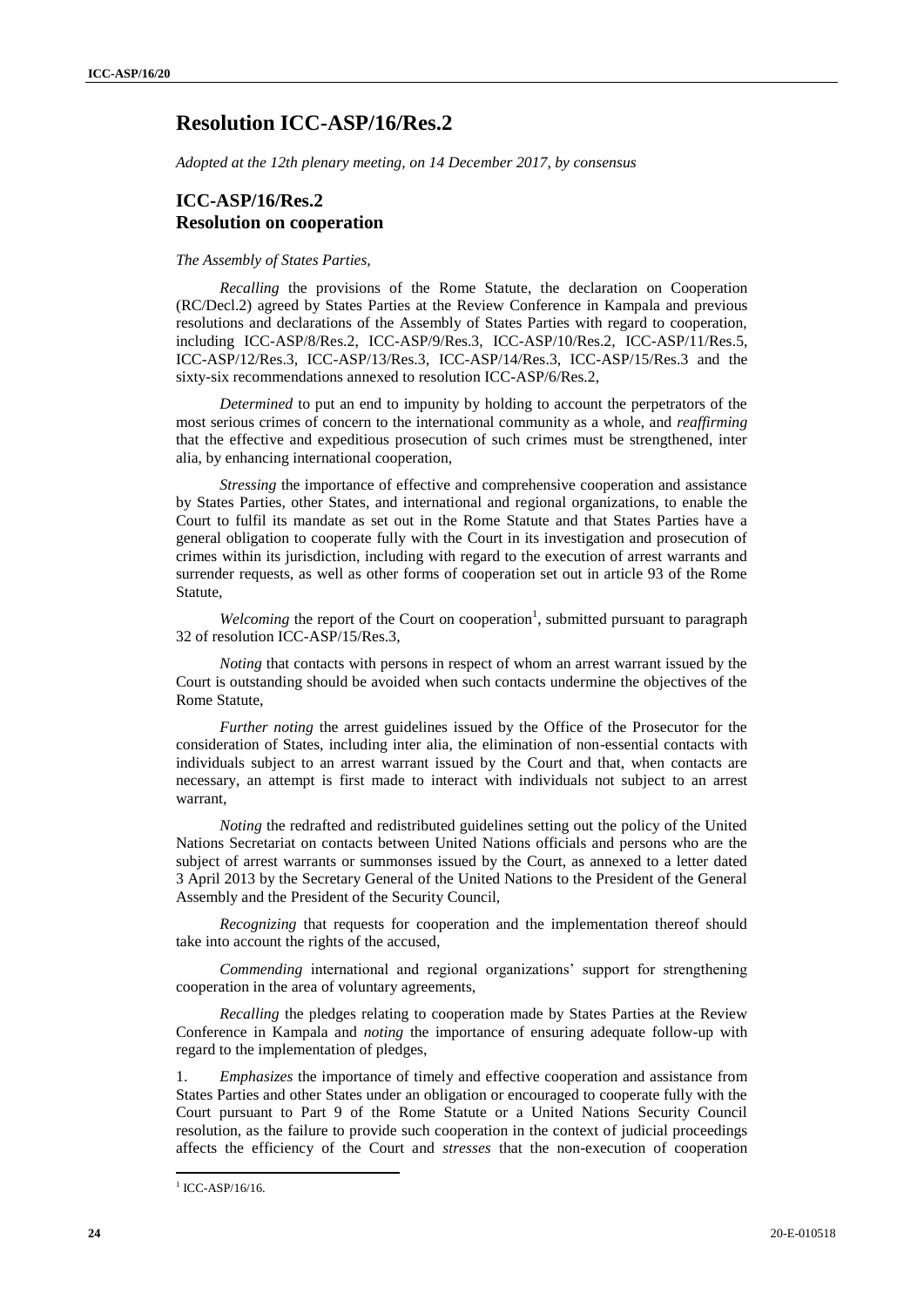## **Resolution ICC-ASP/16/Res.2**

*Adopted at the 12th plenary meeting, on 14 December 2017, by consensus*

### **ICC-ASP/16/Res.2 Resolution on cooperation**

#### *The Assembly of States Parties,*

*Recalling* the provisions of the Rome Statute, the declaration on Cooperation (RC/Decl.2) agreed by States Parties at the Review Conference in Kampala and previous resolutions and declarations of the Assembly of States Parties with regard to cooperation, including ICC-ASP/8/Res.2, ICC-ASP/9/Res.3, ICC-ASP/10/Res.2, ICC-ASP/11/Res.5, ICC-ASP/12/Res.3, ICC-ASP/13/Res.3, ICC-ASP/14/Res.3, ICC-ASP/15/Res.3 and the sixty-six recommendations annexed to resolution ICC-ASP/6/Res.2,

*Determined* to put an end to impunity by holding to account the perpetrators of the most serious crimes of concern to the international community as a whole, and *reaffirming*  that the effective and expeditious prosecution of such crimes must be strengthened, inter alia, by enhancing international cooperation,

*Stressing* the importance of effective and comprehensive cooperation and assistance by States Parties, other States, and international and regional organizations, to enable the Court to fulfil its mandate as set out in the Rome Statute and that States Parties have a general obligation to cooperate fully with the Court in its investigation and prosecution of crimes within its jurisdiction, including with regard to the execution of arrest warrants and surrender requests, as well as other forms of cooperation set out in article 93 of the Rome Statute,

Welcoming the report of the Court on cooperation<sup>1</sup>, submitted pursuant to paragraph 32 of resolution ICC-ASP/15/Res.3,

*Noting* that contacts with persons in respect of whom an arrest warrant issued by the Court is outstanding should be avoided when such contacts undermine the objectives of the Rome Statute,

*Further noting* the arrest guidelines issued by the Office of the Prosecutor for the consideration of States, including inter alia, the elimination of non-essential contacts with individuals subject to an arrest warrant issued by the Court and that, when contacts are necessary, an attempt is first made to interact with individuals not subject to an arrest warrant,

*Noting* the redrafted and redistributed guidelines setting out the policy of the United Nations Secretariat on contacts between United Nations officials and persons who are the subject of arrest warrants or summonses issued by the Court, as annexed to a letter dated 3 April 2013 by the Secretary General of the United Nations to the President of the General Assembly and the President of the Security Council,

*Recognizing* that requests for cooperation and the implementation thereof should take into account the rights of the accused,

*Commending* international and regional organizations' support for strengthening cooperation in the area of voluntary agreements,

*Recalling* the pledges relating to cooperation made by States Parties at the Review Conference in Kampala and *noting* the importance of ensuring adequate follow-up with regard to the implementation of pledges,

1. *Emphasizes* the importance of timely and effective cooperation and assistance from States Parties and other States under an obligation or encouraged to cooperate fully with the Court pursuant to Part 9 of the Rome Statute or a United Nations Security Council resolution, as the failure to provide such cooperation in the context of judicial proceedings affects the efficiency of the Court and *stresses* that the non-execution of cooperation

 $\overline{a}$ 

<sup>&</sup>lt;sup>1</sup> ICC-ASP/16/16.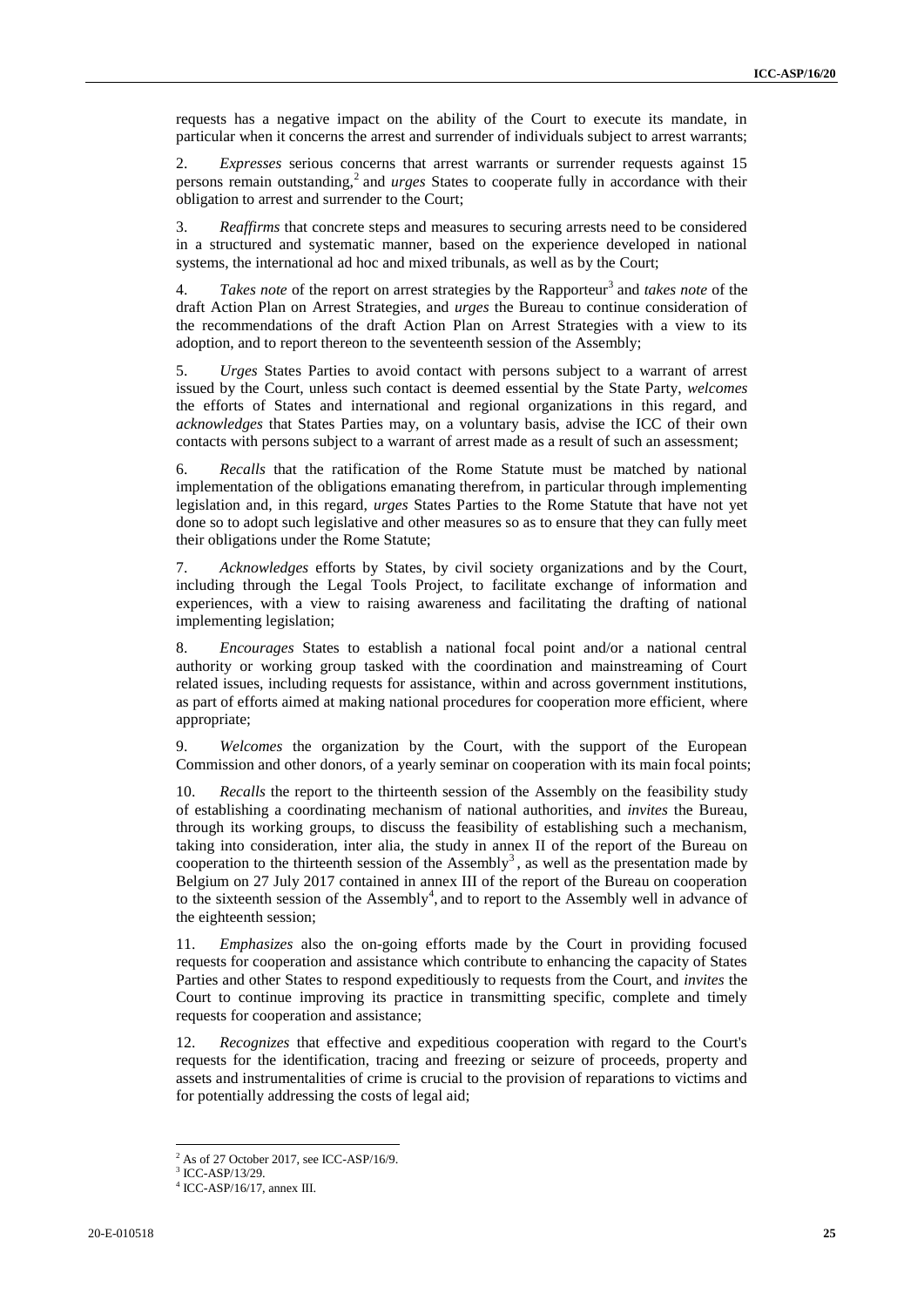requests has a negative impact on the ability of the Court to execute its mandate, in particular when it concerns the arrest and surrender of individuals subject to arrest warrants;

2. *Expresses* serious concerns that arrest warrants or surrender requests against 15 persons remain outstanding,<sup>2</sup> and *urges* States to cooperate fully in accordance with their obligation to arrest and surrender to the Court;

3. *Reaffirms* that concrete steps and measures to securing arrests need to be considered in a structured and systematic manner, based on the experience developed in national systems, the international ad hoc and mixed tribunals, as well as by the Court;

4. Takes note of the report on arrest strategies by the Rapporteur<sup>3</sup> and *takes note* of the draft Action Plan on Arrest Strategies, and *urges* the Bureau to continue consideration of the recommendations of the draft Action Plan on Arrest Strategies with a view to its adoption, and to report thereon to the seventeenth session of the Assembly;

5. *Urges* States Parties to avoid contact with persons subject to a warrant of arrest issued by the Court, unless such contact is deemed essential by the State Party, *welcomes*  the efforts of States and international and regional organizations in this regard, and *acknowledges* that States Parties may, on a voluntary basis, advise the ICC of their own contacts with persons subject to a warrant of arrest made as a result of such an assessment;

6. *Recalls* that the ratification of the Rome Statute must be matched by national implementation of the obligations emanating therefrom, in particular through implementing legislation and, in this regard, *urges* States Parties to the Rome Statute that have not yet done so to adopt such legislative and other measures so as to ensure that they can fully meet their obligations under the Rome Statute;

7. *Acknowledges* efforts by States, by civil society organizations and by the Court, including through the Legal Tools Project, to facilitate exchange of information and experiences, with a view to raising awareness and facilitating the drafting of national implementing legislation;

8. *Encourages* States to establish a national focal point and/or a national central authority or working group tasked with the coordination and mainstreaming of Court related issues, including requests for assistance, within and across government institutions, as part of efforts aimed at making national procedures for cooperation more efficient, where appropriate;

9. *Welcomes* the organization by the Court, with the support of the European Commission and other donors, of a yearly seminar on cooperation with its main focal points;

10. *Recalls* the report to the thirteenth session of the Assembly on the feasibility study of establishing a coordinating mechanism of national authorities, and *invites* the Bureau, through its working groups, to discuss the feasibility of establishing such a mechanism, taking into consideration, inter alia, the study in annex II of the report of the Bureau on cooperation to the thirteenth session of the Assembly<sup>3</sup>, as well as the presentation made by Belgium on 27 July 2017 contained in annex III of the report of the Bureau on cooperation to the sixteenth session of the Assembly<sup>4</sup>, and to report to the Assembly well in advance of the eighteenth session;

11. *Emphasizes* also the on-going efforts made by the Court in providing focused requests for cooperation and assistance which contribute to enhancing the capacity of States Parties and other States to respond expeditiously to requests from the Court, and *invites* the Court to continue improving its practice in transmitting specific, complete and timely requests for cooperation and assistance;

12. *Recognizes* that effective and expeditious cooperation with regard to the Court's requests for the identification, tracing and freezing or seizure of proceeds, property and assets and instrumentalities of crime is crucial to the provision of reparations to victims and for potentially addressing the costs of legal aid;

 $\overline{a}$ 

As of 27 October 2017, see ICC-ASP/16/9.

<sup>3</sup> ICC-ASP/13/29.

<sup>4</sup> ICC-ASP/16/17, annex III.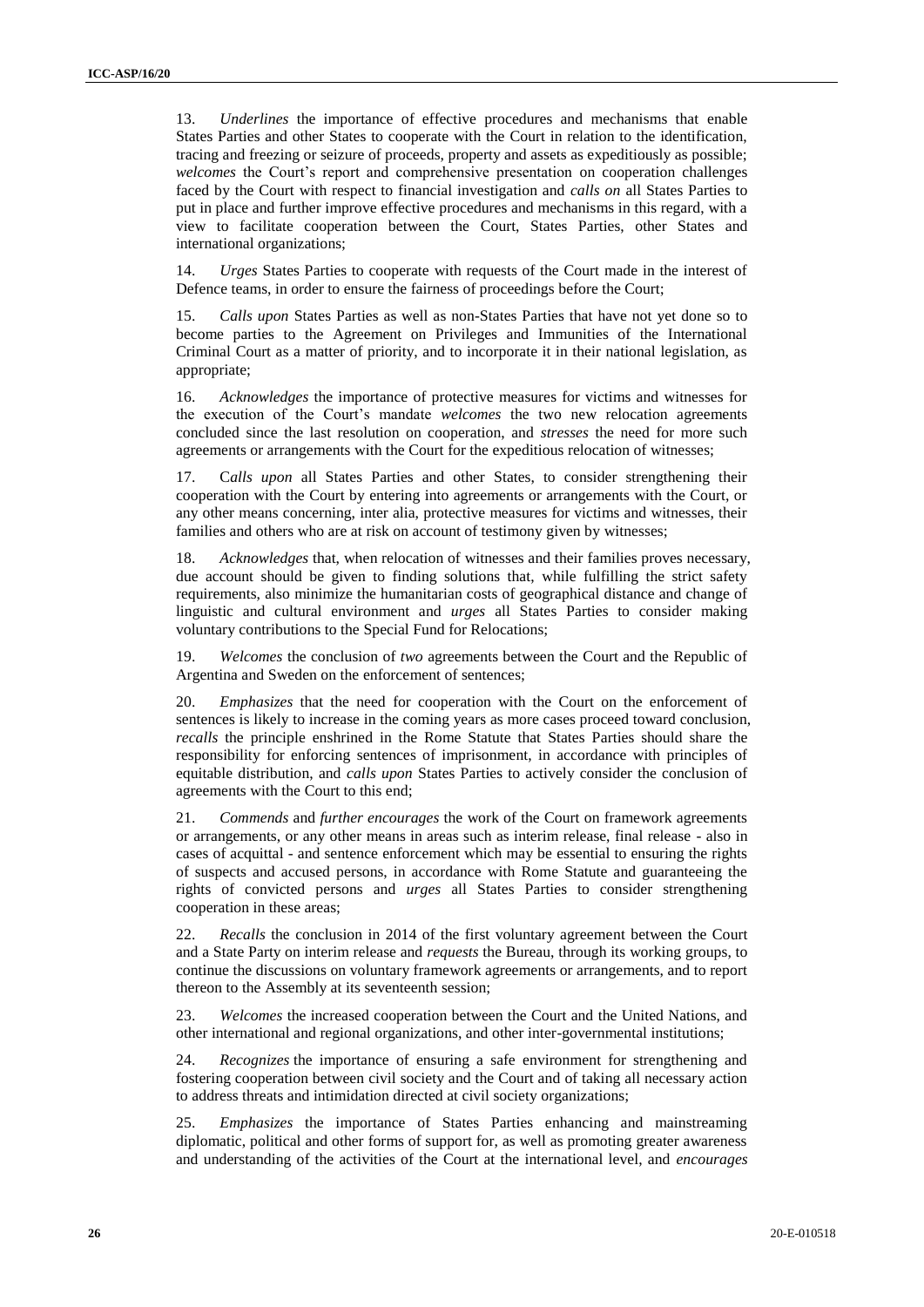13. *Underlines* the importance of effective procedures and mechanisms that enable States Parties and other States to cooperate with the Court in relation to the identification, tracing and freezing or seizure of proceeds, property and assets as expeditiously as possible; *welcomes* the Court's report and comprehensive presentation on cooperation challenges faced by the Court with respect to financial investigation and *calls on* all States Parties to put in place and further improve effective procedures and mechanisms in this regard, with a view to facilitate cooperation between the Court, States Parties, other States and international organizations;

14. *Urges* States Parties to cooperate with requests of the Court made in the interest of Defence teams, in order to ensure the fairness of proceedings before the Court;

15. *Calls upon* States Parties as well as non-States Parties that have not yet done so to become parties to the Agreement on Privileges and Immunities of the International Criminal Court as a matter of priority, and to incorporate it in their national legislation, as appropriate;

16. *Acknowledges* the importance of protective measures for victims and witnesses for the execution of the Court's mandate *welcomes* the two new relocation agreements concluded since the last resolution on cooperation, and *stresses* the need for more such agreements or arrangements with the Court for the expeditious relocation of witnesses;

Calls upon all States Parties and other States, to consider strengthening their cooperation with the Court by entering into agreements or arrangements with the Court, or any other means concerning, inter alia, protective measures for victims and witnesses, their families and others who are at risk on account of testimony given by witnesses;

18. *Acknowledges* that, when relocation of witnesses and their families proves necessary, due account should be given to finding solutions that, while fulfilling the strict safety requirements, also minimize the humanitarian costs of geographical distance and change of linguistic and cultural environment and *urges* all States Parties to consider making voluntary contributions to the Special Fund for Relocations;

19. *Welcomes* the conclusion of *two* agreements between the Court and the Republic of Argentina and Sweden on the enforcement of sentences;

20. *Emphasizes* that the need for cooperation with the Court on the enforcement of sentences is likely to increase in the coming years as more cases proceed toward conclusion, *recalls* the principle enshrined in the Rome Statute that States Parties should share the responsibility for enforcing sentences of imprisonment, in accordance with principles of equitable distribution, and *calls upon* States Parties to actively consider the conclusion of agreements with the Court to this end;

21. *Commends* and *further encourages* the work of the Court on framework agreements or arrangements, or any other means in areas such as interim release, final release - also in cases of acquittal - and sentence enforcement which may be essential to ensuring the rights of suspects and accused persons, in accordance with Rome Statute and guaranteeing the rights of convicted persons and *urges* all States Parties to consider strengthening cooperation in these areas;

22. *Recalls* the conclusion in 2014 of the first voluntary agreement between the Court and a State Party on interim release and *requests* the Bureau, through its working groups, to continue the discussions on voluntary framework agreements or arrangements, and to report thereon to the Assembly at its seventeenth session;

23. *Welcomes* the increased cooperation between the Court and the United Nations, and other international and regional organizations, and other inter-governmental institutions;

24. *Recognizes* the importance of ensuring a safe environment for strengthening and fostering cooperation between civil society and the Court and of taking all necessary action to address threats and intimidation directed at civil society organizations;

25. *Emphasizes* the importance of States Parties enhancing and mainstreaming diplomatic, political and other forms of support for, as well as promoting greater awareness and understanding of the activities of the Court at the international level, and *encourages*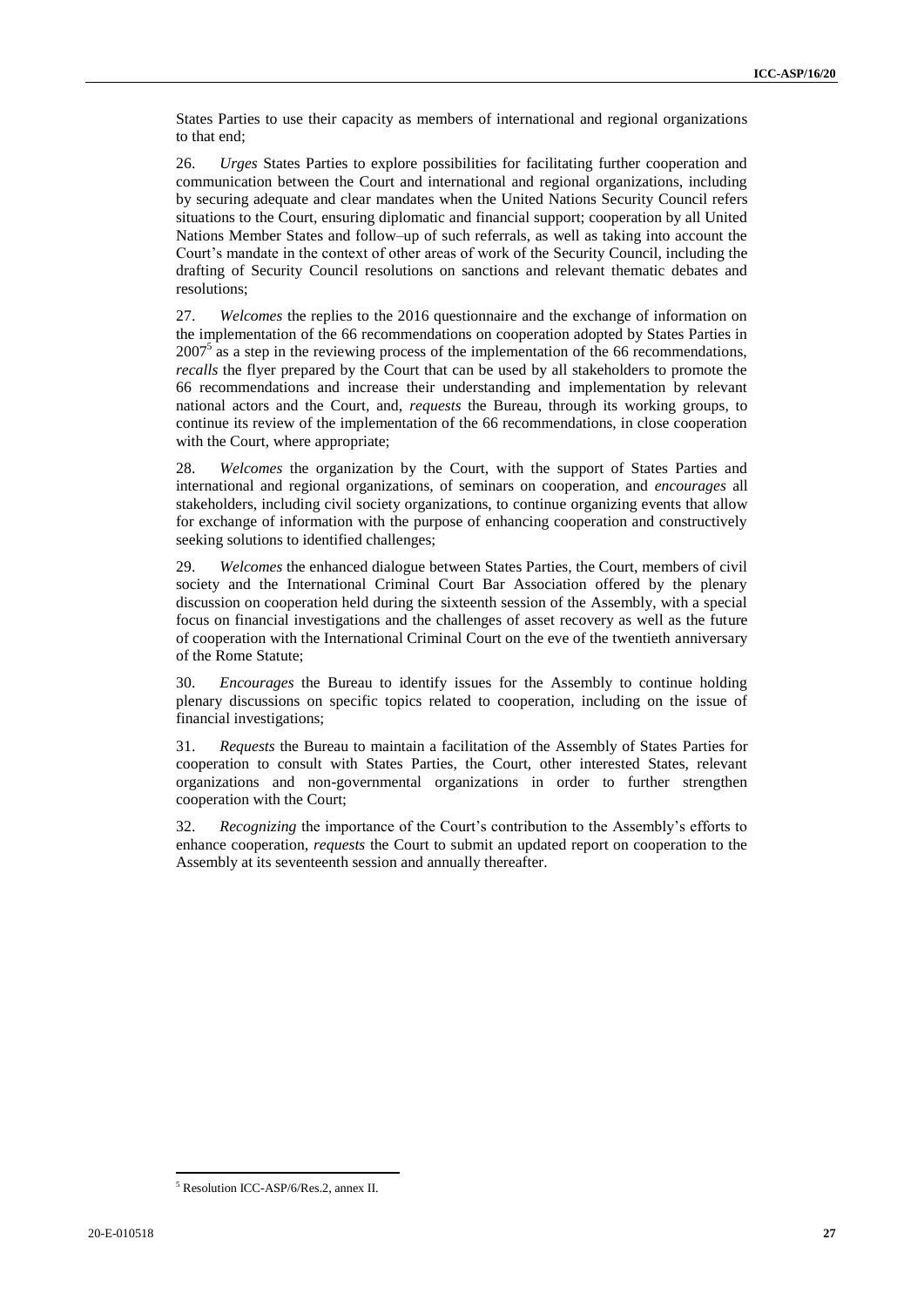States Parties to use their capacity as members of international and regional organizations to that end;

26. *Urges* States Parties to explore possibilities for facilitating further cooperation and communication between the Court and international and regional organizations, including by securing adequate and clear mandates when the United Nations Security Council refers situations to the Court, ensuring diplomatic and financial support; cooperation by all United Nations Member States and follow–up of such referrals, as well as taking into account the Court's mandate in the context of other areas of work of the Security Council, including the drafting of Security Council resolutions on sanctions and relevant thematic debates and resolutions;

27. *Welcomes* the replies to the 2016 questionnaire and the exchange of information on the implementation of the 66 recommendations on cooperation adopted by States Parties in  $2007<sup>5</sup>$  as a step in the reviewing process of the implementation of the 66 recommendations, *recalls* the flyer prepared by the Court that can be used by all stakeholders to promote the 66 recommendations and increase their understanding and implementation by relevant national actors and the Court, and, *requests* the Bureau, through its working groups, to continue its review of the implementation of the 66 recommendations, in close cooperation with the Court, where appropriate;

28. *Welcomes* the organization by the Court, with the support of States Parties and international and regional organizations, of seminars on cooperation, and *encourages* all stakeholders, including civil society organizations, to continue organizing events that allow for exchange of information with the purpose of enhancing cooperation and constructively seeking solutions to identified challenges;

29. *Welcomes* the enhanced dialogue between States Parties, the Court, members of civil society and the International Criminal Court Bar Association offered by the plenary discussion on cooperation held during the sixteenth session of the Assembly, with a special focus on financial investigations and the challenges of asset recovery as well as the future of cooperation with the International Criminal Court on the eve of the twentieth anniversary of the Rome Statute;

30. *Encourages* the Bureau to identify issues for the Assembly to continue holding plenary discussions on specific topics related to cooperation, including on the issue of financial investigations;

31. *Requests* the Bureau to maintain a facilitation of the Assembly of States Parties for cooperation to consult with States Parties, the Court, other interested States, relevant organizations and non-governmental organizations in order to further strengthen cooperation with the Court;

32. *Recognizing* the importance of the Court's contribution to the Assembly's efforts to enhance cooperation, *requests* the Court to submit an updated report on cooperation to the Assembly at its seventeenth session and annually thereafter.

 $\overline{a}$ <sup>5</sup> Resolution ICC-ASP/6/Res.2, annex II.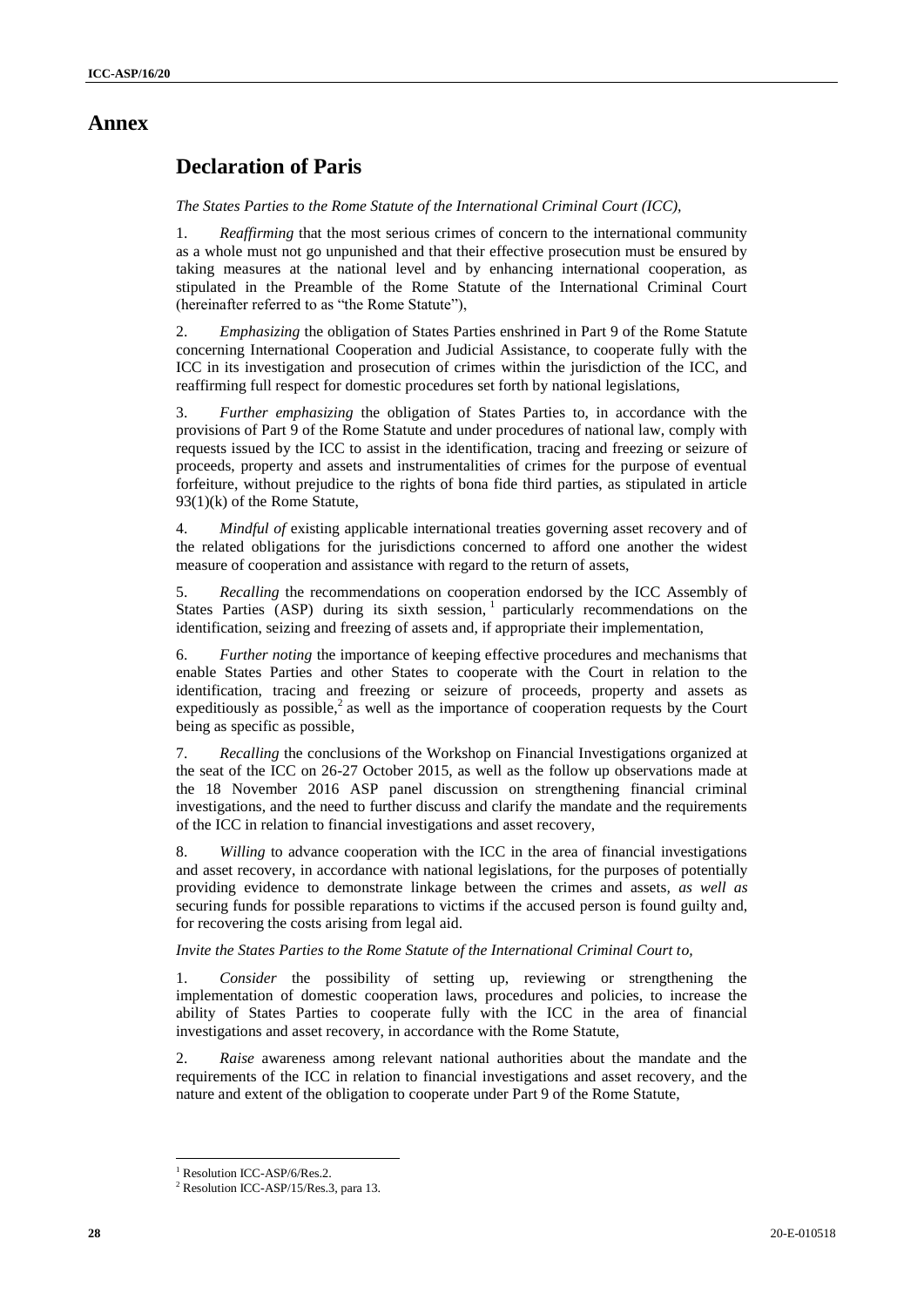## **Annex**

# **Declaration of Paris**

*The States Parties to the Rome Statute of the International Criminal Court (ICC),*

1. *Reaffirming* that the most serious crimes of concern to the international community as a whole must not go unpunished and that their effective prosecution must be ensured by taking measures at the national level and by enhancing international cooperation, as stipulated in the Preamble of the Rome Statute of the International Criminal Court (hereinafter referred to as "the Rome Statute"),

2. *Emphasizing* the obligation of States Parties enshrined in Part 9 of the Rome Statute concerning International Cooperation and Judicial Assistance, to cooperate fully with the ICC in its investigation and prosecution of crimes within the jurisdiction of the ICC, and reaffirming full respect for domestic procedures set forth by national legislations,

3. *Further emphasizing* the obligation of States Parties to, in accordance with the provisions of Part 9 of the Rome Statute and under procedures of national law, comply with requests issued by the ICC to assist in the identification, tracing and freezing or seizure of proceeds, property and assets and instrumentalities of crimes for the purpose of eventual forfeiture, without prejudice to the rights of bona fide third parties, as stipulated in article 93(1)(k) of the Rome Statute,

4. *Mindful of* existing applicable international treaties governing asset recovery and of the related obligations for the jurisdictions concerned to afford one another the widest measure of cooperation and assistance with regard to the return of assets,

5. *Recalling* the recommendations on cooperation endorsed by the ICC Assembly of States Parties (ASP) during its sixth session, <sup>1</sup> particularly recommendations on the identification, seizing and freezing of assets and, if appropriate their implementation,

6. *Further noting* the importance of keeping effective procedures and mechanisms that enable States Parties and other States to cooperate with the Court in relation to the identification, tracing and freezing or seizure of proceeds, property and assets as expeditiously as possible, $\lambda^2$  as well as the importance of cooperation requests by the Court being as specific as possible,

7. *Recalling* the conclusions of the Workshop on Financial Investigations organized at the seat of the ICC on 26-27 October 2015, as well as the follow up observations made at the 18 November 2016 ASP panel discussion on strengthening financial criminal investigations, and the need to further discuss and clarify the mandate and the requirements of the ICC in relation to financial investigations and asset recovery,

8. *Willing* to advance cooperation with the ICC in the area of financial investigations and asset recovery, in accordance with national legislations, for the purposes of potentially providing evidence to demonstrate linkage between the crimes and assets*, as well as*  securing funds for possible reparations to victims if the accused person is found guilty and, for recovering the costs arising from legal aid.

*Invite the States Parties to the Rome Statute of the International Criminal Court to,*

1. *Consider* the possibility of setting up, reviewing or strengthening the implementation of domestic cooperation laws, procedures and policies, to increase the ability of States Parties to cooperate fully with the ICC in the area of financial investigations and asset recovery, in accordance with the Rome Statute,

2. *Raise* awareness among relevant national authorities about the mandate and the requirements of the ICC in relation to financial investigations and asset recovery, and the nature and extent of the obligation to cooperate under Part 9 of the Rome Statute,

l <sup>1</sup> Resolution ICC-ASP/6/Res.2.

<sup>2</sup> Resolution ICC-ASP/15/Res.3, para 13.